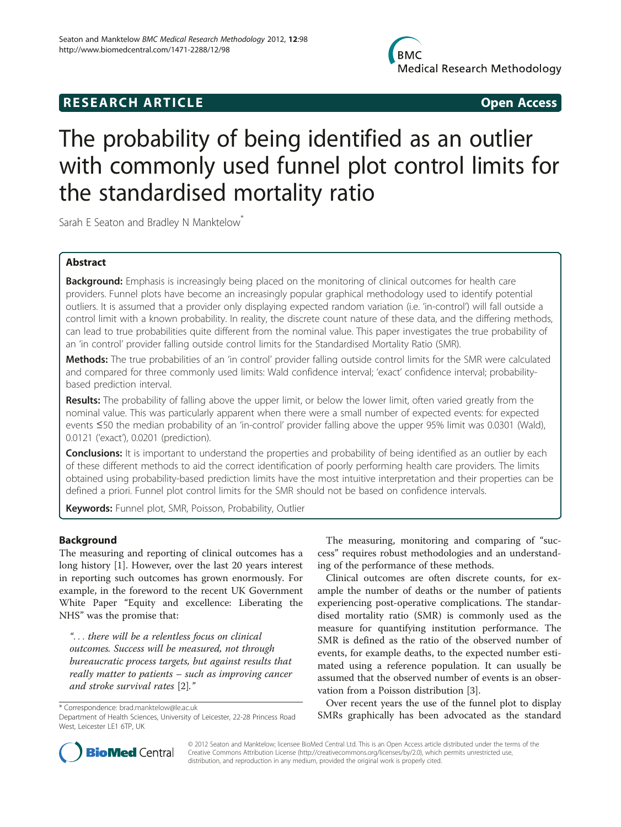## **RESEARCH ARTICLE CONSUMING A RESEARCH ARTICLE**

# The probability of being identified as an outlier with commonly used funnel plot control limits for the standardised mortality ratio

Sarah E Seaton and Bradley N Manktelow<sup>\*</sup>

## Abstract

Background: Emphasis is increasingly being placed on the monitoring of clinical outcomes for health care providers. Funnel plots have become an increasingly popular graphical methodology used to identify potential outliers. It is assumed that a provider only displaying expected random variation (i.e. 'in-control') will fall outside a control limit with a known probability. In reality, the discrete count nature of these data, and the differing methods, can lead to true probabilities quite different from the nominal value. This paper investigates the true probability of an 'in control' provider falling outside control limits for the Standardised Mortality Ratio (SMR).

Methods: The true probabilities of an 'in control' provider falling outside control limits for the SMR were calculated and compared for three commonly used limits: Wald confidence interval; 'exact' confidence interval; probabilitybased prediction interval.

Results: The probability of falling above the upper limit, or below the lower limit, often varied greatly from the nominal value. This was particularly apparent when there were a small number of expected events: for expected events ≤50 the median probability of an 'in-control' provider falling above the upper 95% limit was 0.0301 (Wald), 0.0121 ('exact'), 0.0201 (prediction).

**Conclusions:** It is important to understand the properties and probability of being identified as an outlier by each of these different methods to aid the correct identification of poorly performing health care providers. The limits obtained using probability-based prediction limits have the most intuitive interpretation and their properties can be defined a priori. Funnel plot control limits for the SMR should not be based on confidence intervals.

Keywords: Funnel plot, SMR, Poisson, Probability, Outlier

## Background

The measuring and reporting of clinical outcomes has a long history [[1](#page-6-0)]. However, over the last 20 years interest in reporting such outcomes has grown enormously. For example, in the foreword to the recent UK Government White Paper "Equity and excellence: Liberating the NHS" was the promise that:

"... there will be a relentless focus on clinical outcomes. Success will be measured, not through bureaucratic process targets, but against results that really matter to patients – such as improving cancer and stroke survival rates [\[2](#page-6-0)]."

The measuring, monitoring and comparing of "success" requires robust methodologies and an understanding of the performance of these methods.

Clinical outcomes are often discrete counts, for example the number of deaths or the number of patients experiencing post-operative complications. The standardised mortality ratio (SMR) is commonly used as the measure for quantifying institution performance. The SMR is defined as the ratio of the observed number of events, for example deaths, to the expected number estimated using a reference population. It can usually be assumed that the observed number of events is an observation from a Poisson distribution [[3\]](#page-6-0).

Over recent years the use of the funnel plot to display Sorrespondence: [brad.manktelow@le.ac.uk](mailto:brad.manktelow@le.ac.uk)<br>Department of Health Sciences, University of Leicester, 22-28 Princess Road **SMRs** graphically has been advocated as the standard



© 2012 Seaton and Manktelow; licensee BioMed Central Ltd. This is an Open Access article distributed under the terms of the Creative Commons Attribution License (<http://creativecommons.org/licenses/by/2.0>), which permits unrestricted use, distribution, and reproduction in any medium, provided the original work is properly cited.

Department of Health Sciences, University of Leicester, 22-28 Princess Road West, Leicester LE1 6TP, UK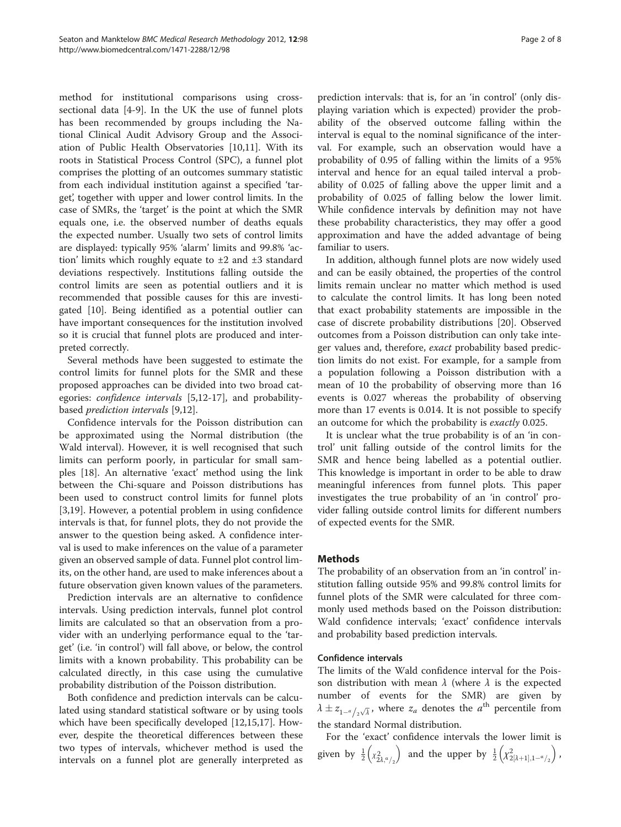method for institutional comparisons using crosssectional data [[4-9\]](#page-6-0). In the UK the use of funnel plots has been recommended by groups including the National Clinical Audit Advisory Group and the Association of Public Health Observatories [[10,11\]](#page-6-0). With its roots in Statistical Process Control (SPC), a funnel plot comprises the plotting of an outcomes summary statistic from each individual institution against a specified 'target', together with upper and lower control limits. In the case of SMRs, the 'target' is the point at which the SMR equals one, i.e. the observed number of deaths equals the expected number. Usually two sets of control limits are displayed: typically 95% 'alarm' limits and 99.8% 'action' limits which roughly equate to  $\pm 2$  and  $\pm 3$  standard deviations respectively. Institutions falling outside the control limits are seen as potential outliers and it is recommended that possible causes for this are investigated [\[10\]](#page-6-0). Being identified as a potential outlier can have important consequences for the institution involved so it is crucial that funnel plots are produced and interpreted correctly.

Several methods have been suggested to estimate the control limits for funnel plots for the SMR and these proposed approaches can be divided into two broad categories: confidence intervals [[5,12-](#page-6-0)[17\]](#page-7-0), and probabilitybased prediction intervals [[9,12\]](#page-6-0).

Confidence intervals for the Poisson distribution can be approximated using the Normal distribution (the Wald interval). However, it is well recognised that such limits can perform poorly, in particular for small samples [[18](#page-7-0)]. An alternative 'exact' method using the link between the Chi-square and Poisson distributions has been used to construct control limits for funnel plots [[3,](#page-6-0)[19\]](#page-7-0). However, a potential problem in using confidence intervals is that, for funnel plots, they do not provide the answer to the question being asked. A confidence interval is used to make inferences on the value of a parameter given an observed sample of data. Funnel plot control limits, on the other hand, are used to make inferences about a future observation given known values of the parameters.

Prediction intervals are an alternative to confidence intervals. Using prediction intervals, funnel plot control limits are calculated so that an observation from a provider with an underlying performance equal to the 'target' (i.e. 'in control') will fall above, or below, the control limits with a known probability. This probability can be calculated directly, in this case using the cumulative probability distribution of the Poisson distribution.

Both confidence and prediction intervals can be calculated using standard statistical software or by using tools which have been specifically developed [[12,](#page-6-0)[15,17\]](#page-7-0). However, despite the theoretical differences between these two types of intervals, whichever method is used the intervals on a funnel plot are generally interpreted as

prediction intervals: that is, for an 'in control' (only displaying variation which is expected) provider the probability of the observed outcome falling within the interval is equal to the nominal significance of the interval. For example, such an observation would have a probability of 0.95 of falling within the limits of a 95% interval and hence for an equal tailed interval a probability of 0.025 of falling above the upper limit and a probability of 0.025 of falling below the lower limit. While confidence intervals by definition may not have these probability characteristics, they may offer a good approximation and have the added advantage of being familiar to users.

In addition, although funnel plots are now widely used and can be easily obtained, the properties of the control limits remain unclear no matter which method is used to calculate the control limits. It has long been noted that exact probability statements are impossible in the case of discrete probability distributions [\[20](#page-7-0)]. Observed outcomes from a Poisson distribution can only take integer values and, therefore, *exact* probability based prediction limits do not exist. For example, for a sample from a population following a Poisson distribution with a mean of 10 the probability of observing more than 16 events is 0.027 whereas the probability of observing more than 17 events is 0.014. It is not possible to specify an outcome for which the probability is exactly 0.025.

It is unclear what the true probability is of an 'in control' unit falling outside of the control limits for the SMR and hence being labelled as a potential outlier. This knowledge is important in order to be able to draw meaningful inferences from funnel plots. This paper investigates the true probability of an 'in control' provider falling outside control limits for different numbers of expected events for the SMR.

### Methods

The probability of an observation from an 'in control' institution falling outside 95% and 99.8% control limits for funnel plots of the SMR were calculated for three commonly used methods based on the Poisson distribution: Wald confidence intervals; 'exact' confidence intervals and probability based prediction intervals.

#### Confidence intervals

The limits of the Wald confidence interval for the Poisson distribution with mean  $\lambda$  (where  $\lambda$  is the expected number of events for the SMR) are given by  $\lambda \pm z_{1-\frac{\alpha}{2}\sqrt{\lambda}}$ , where  $z_a$  denotes the  $a^{\rm th}$  percentile from the standard Normal distribution.

For the 'exact' confidence intervals the lower limit is given by  $\frac{1}{2} \left( \chi^2_{2\lambda, \alpha/2} \right)$  and the upper by  $\frac{1}{2} \left( \chi^2_{2[\lambda+1], 1-\alpha/2} \right)$ ,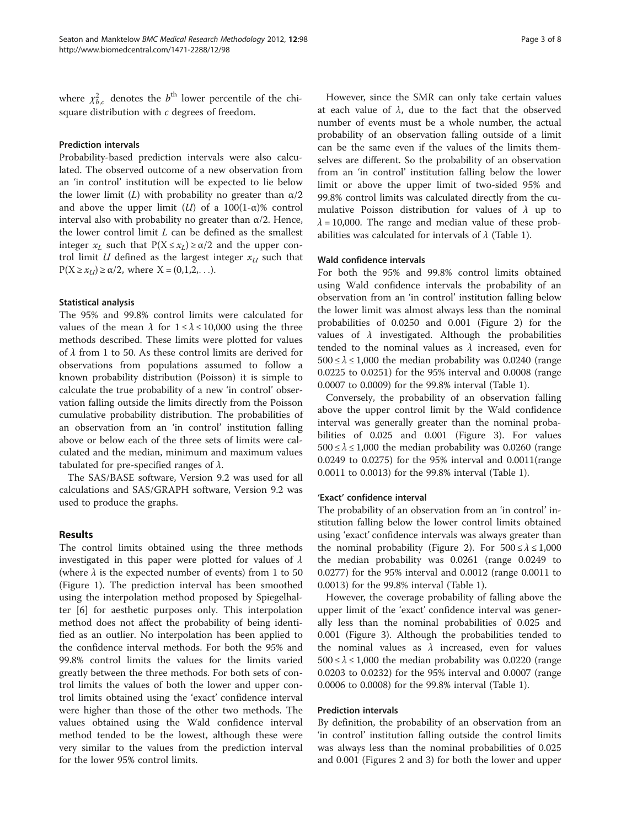where  $\chi_{b,c}^2$  denotes the  $b^{\text{th}}$  lower percentile of the chisquare distribution with  $c$  degrees of freedom.

#### Prediction intervals

Probability-based prediction intervals were also calculated. The observed outcome of a new observation from an 'in control' institution will be expected to lie below the lower limit (L) with probability no greater than  $\alpha/2$ and above the upper limit  $(U)$  of a 100(1-α)% control interval also with probability no greater than  $\alpha/2$ . Hence, the lower control limit  $L$  can be defined as the smallest integer  $x_L$  such that  $P(X \le x_L) \ge \alpha/2$  and the upper control limit  $U$  defined as the largest integer  $x_U$  such that  $P(X \ge x_U) \ge \alpha/2$ , where  $X = (0,1,2,...)$ .

#### Statistical analysis

The 95% and 99.8% control limits were calculated for values of the mean  $\lambda$  for  $1 \leq \lambda \leq 10,000$  using the three methods described. These limits were plotted for values of  $\lambda$  from 1 to 50. As these control limits are derived for observations from populations assumed to follow a known probability distribution (Poisson) it is simple to calculate the true probability of a new 'in control' observation falling outside the limits directly from the Poisson cumulative probability distribution. The probabilities of an observation from an 'in control' institution falling above or below each of the three sets of limits were calculated and the median, minimum and maximum values tabulated for pre-specified ranges of  $\lambda$ .

The SAS/BASE software, Version 9.2 was used for all calculations and SAS/GRAPH software, Version 9.2 was used to produce the graphs.

#### Results

The control limits obtained using the three methods investigated in this paper were plotted for values of  $\lambda$ (where  $\lambda$  is the expected number of events) from 1 to 50 (Figure [1](#page-3-0)). The prediction interval has been smoothed using the interpolation method proposed by Spiegelhalter [\[6](#page-6-0)] for aesthetic purposes only. This interpolation method does not affect the probability of being identified as an outlier. No interpolation has been applied to the confidence interval methods. For both the 95% and 99.8% control limits the values for the limits varied greatly between the three methods. For both sets of control limits the values of both the lower and upper control limits obtained using the 'exact' confidence interval were higher than those of the other two methods. The values obtained using the Wald confidence interval method tended to be the lowest, although these were very similar to the values from the prediction interval for the lower 95% control limits.

However, since the SMR can only take certain values at each value of  $\lambda$ , due to the fact that the observed number of events must be a whole number, the actual probability of an observation falling outside of a limit can be the same even if the values of the limits themselves are different. So the probability of an observation from an 'in control' institution falling below the lower limit or above the upper limit of two-sided 95% and 99.8% control limits was calculated directly from the cumulative Poisson distribution for values of  $\lambda$  up to  $\lambda = 10,000$ . The range and median value of these probabilities was calculated for intervals of  $\lambda$  (Table [1\)](#page-4-0).

#### Wald confidence intervals

For both the 95% and 99.8% control limits obtained using Wald confidence intervals the probability of an observation from an 'in control' institution falling below the lower limit was almost always less than the nominal probabilities of 0.0250 and 0.001 (Figure [2](#page-5-0)) for the values of  $\lambda$  investigated. Although the probabilities tended to the nominal values as  $\lambda$  increased, even for  $500 \le \lambda \le 1,000$  the median probability was 0.0240 (range 0.0225 to 0.0251) for the 95% interval and 0.0008 (range 0.0007 to 0.0009) for the 99.8% interval (Table [1\)](#page-4-0).

Conversely, the probability of an observation falling above the upper control limit by the Wald confidence interval was generally greater than the nominal probabilities of 0.025 and 0.001 (Figure [3\)](#page-6-0). For values  $500 \le \lambda \le 1,000$  the median probability was 0.0260 (range 0.0249 to 0.0275) for the 95% interval and 0.0011(range 0.0011 to 0.0013) for the 99.8% interval (Table [1\)](#page-4-0).

## 'Exact' confidence interval

The probability of an observation from an 'in control' institution falling below the lower control limits obtained using 'exact' confidence intervals was always greater than the nominal probability (Figure [2\)](#page-5-0). For  $500 \le \lambda \le 1,000$ the median probability was 0.0261 (range 0.0249 to 0.0277) for the 95% interval and 0.0012 (range 0.0011 to 0.0013) for the 99.8% interval (Table [1\)](#page-4-0).

However, the coverage probability of falling above the upper limit of the 'exact' confidence interval was generally less than the nominal probabilities of 0.025 and 0.001 (Figure [3](#page-6-0)). Although the probabilities tended to the nominal values as  $\lambda$  increased, even for values  $500 \le \lambda \le 1,000$  the median probability was 0.0220 (range 0.0203 to 0.0232) for the 95% interval and 0.0007 (range 0.0006 to 0.0008) for the 99.8% interval (Table [1\)](#page-4-0).

#### Prediction intervals

By definition, the probability of an observation from an 'in control' institution falling outside the control limits was always less than the nominal probabilities of 0.025 and 0.001 (Figures [2](#page-5-0) and [3](#page-6-0)) for both the lower and upper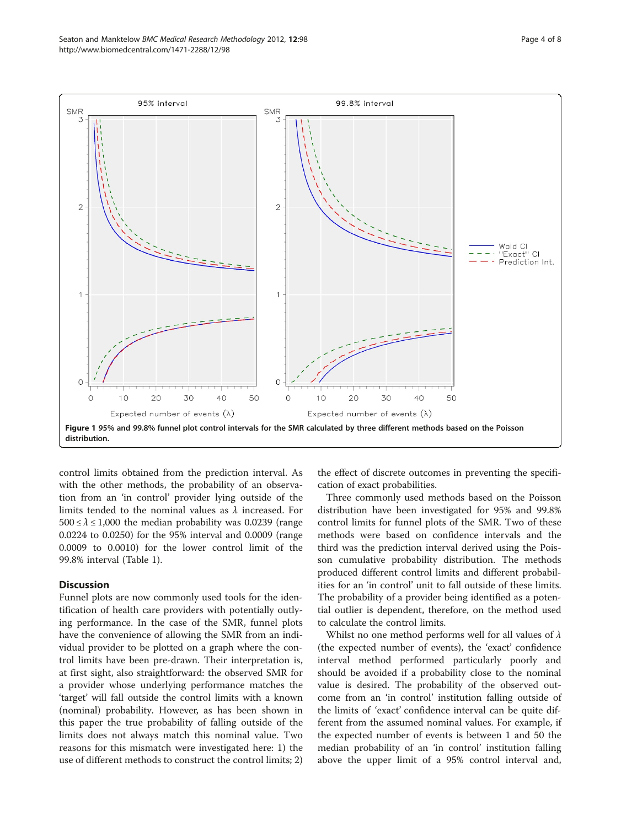<span id="page-3-0"></span>Seaton and Manktelow BMC Medical Research Methodology 2012, 12:98 http://www.biomedcentral.com/1471-2288/12/98



control limits obtained from the prediction interval. As with the other methods, the probability of an observation from an 'in control' provider lying outside of the limits tended to the nominal values as  $\lambda$  increased. For  $500 \le \lambda \le 1,000$  the median probability was 0.0239 (range 0.0224 to 0.0250) for the 95% interval and 0.0009 (range 0.0009 to 0.0010) for the lower control limit of the 99.8% interval (Table [1](#page-4-0)).

## **Discussion**

Funnel plots are now commonly used tools for the identification of health care providers with potentially outlying performance. In the case of the SMR, funnel plots have the convenience of allowing the SMR from an individual provider to be plotted on a graph where the control limits have been pre-drawn. Their interpretation is, at first sight, also straightforward: the observed SMR for a provider whose underlying performance matches the 'target' will fall outside the control limits with a known (nominal) probability. However, as has been shown in this paper the true probability of falling outside of the limits does not always match this nominal value. Two reasons for this mismatch were investigated here: 1) the use of different methods to construct the control limits; 2)

the effect of discrete outcomes in preventing the specification of exact probabilities.

Three commonly used methods based on the Poisson distribution have been investigated for 95% and 99.8% control limits for funnel plots of the SMR. Two of these methods were based on confidence intervals and the third was the prediction interval derived using the Poisson cumulative probability distribution. The methods produced different control limits and different probabilities for an 'in control' unit to fall outside of these limits. The probability of a provider being identified as a potential outlier is dependent, therefore, on the method used to calculate the control limits.

Whilst no one method performs well for all values of  $\lambda$ (the expected number of events), the 'exact' confidence interval method performed particularly poorly and should be avoided if a probability close to the nominal value is desired. The probability of the observed outcome from an 'in control' institution falling outside of the limits of 'exact' confidence interval can be quite different from the assumed nominal values. For example, if the expected number of events is between 1 and 50 the median probability of an 'in control' institution falling above the upper limit of a 95% control interval and,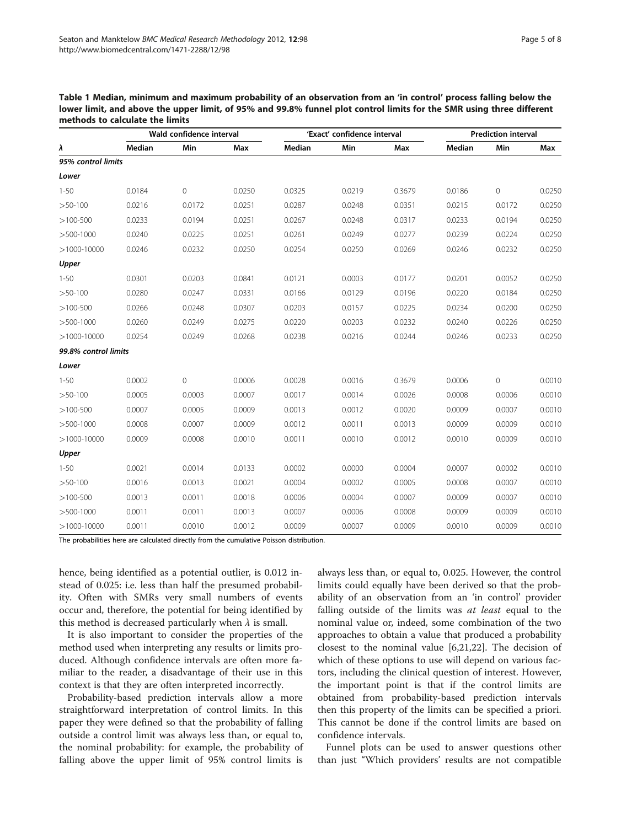<span id="page-4-0"></span>

| Table 1 Median, minimum and maximum probability of an observation from an 'in control' process falling below the      |  |  |  |
|-----------------------------------------------------------------------------------------------------------------------|--|--|--|
| lower limit, and above the upper limit, of 95% and 99.8% funnel plot control limits for the SMR using three different |  |  |  |
| methods to calculate the limits                                                                                       |  |  |  |

|                      |        | Wald confidence interval |        |        | 'Exact' confidence interval |        |        | <b>Prediction interval</b> |        |  |
|----------------------|--------|--------------------------|--------|--------|-----------------------------|--------|--------|----------------------------|--------|--|
| λ                    | Median | Min                      | Max    | Median | Min                         | Max    | Median | Min                        | Max    |  |
| 95% control limits   |        |                          |        |        |                             |        |        |                            |        |  |
| Lower                |        |                          |        |        |                             |        |        |                            |        |  |
| $1 - 50$             | 0.0184 | $\circ$                  | 0.0250 | 0.0325 | 0.0219                      | 0.3679 | 0.0186 | $\circ$                    | 0.0250 |  |
| $>50-100$            | 0.0216 | 0.0172                   | 0.0251 | 0.0287 | 0.0248                      | 0.0351 | 0.0215 | 0.0172                     | 0.0250 |  |
| $>100 - 500$         | 0.0233 | 0.0194                   | 0.0251 | 0.0267 | 0.0248                      | 0.0317 | 0.0233 | 0.0194                     | 0.0250 |  |
| $>500-1000$          | 0.0240 | 0.0225                   | 0.0251 | 0.0261 | 0.0249                      | 0.0277 | 0.0239 | 0.0224                     | 0.0250 |  |
| $>1000 - 10000$      | 0.0246 | 0.0232                   | 0.0250 | 0.0254 | 0.0250                      | 0.0269 | 0.0246 | 0.0232                     | 0.0250 |  |
| Upper                |        |                          |        |        |                             |        |        |                            |        |  |
| $1 - 50$             | 0.0301 | 0.0203                   | 0.0841 | 0.0121 | 0.0003                      | 0.0177 | 0.0201 | 0.0052                     | 0.0250 |  |
| $>50-100$            | 0.0280 | 0.0247                   | 0.0331 | 0.0166 | 0.0129                      | 0.0196 | 0.0220 | 0.0184                     | 0.0250 |  |
| $>100 - 500$         | 0.0266 | 0.0248                   | 0.0307 | 0.0203 | 0.0157                      | 0.0225 | 0.0234 | 0.0200                     | 0.0250 |  |
| $>500-1000$          | 0.0260 | 0.0249                   | 0.0275 | 0.0220 | 0.0203                      | 0.0232 | 0.0240 | 0.0226                     | 0.0250 |  |
| $>1000 - 10000$      | 0.0254 | 0.0249                   | 0.0268 | 0.0238 | 0.0216                      | 0.0244 | 0.0246 | 0.0233                     | 0.0250 |  |
| 99.8% control limits |        |                          |        |        |                             |        |        |                            |        |  |
| Lower                |        |                          |        |        |                             |        |        |                            |        |  |
| $1 - 50$             | 0.0002 | $\circ$                  | 0.0006 | 0.0028 | 0.0016                      | 0.3679 | 0.0006 | $\circ$                    | 0.0010 |  |
| $>50-100$            | 0.0005 | 0.0003                   | 0.0007 | 0.0017 | 0.0014                      | 0.0026 | 0.0008 | 0.0006                     | 0.0010 |  |
| $>100 - 500$         | 0.0007 | 0.0005                   | 0.0009 | 0.0013 | 0.0012                      | 0.0020 | 0.0009 | 0.0007                     | 0.0010 |  |
| $>500-1000$          | 0.0008 | 0.0007                   | 0.0009 | 0.0012 | 0.0011                      | 0.0013 | 0.0009 | 0.0009                     | 0.0010 |  |
| $>1000 - 10000$      | 0.0009 | 0.0008                   | 0.0010 | 0.0011 | 0.0010                      | 0.0012 | 0.0010 | 0.0009                     | 0.0010 |  |
| Upper                |        |                          |        |        |                             |        |        |                            |        |  |
| $1 - 50$             | 0.0021 | 0.0014                   | 0.0133 | 0.0002 | 0.0000                      | 0.0004 | 0.0007 | 0.0002                     | 0.0010 |  |
| $>50-100$            | 0.0016 | 0.0013                   | 0.0021 | 0.0004 | 0.0002                      | 0.0005 | 0.0008 | 0.0007                     | 0.0010 |  |
| $>100 - 500$         | 0.0013 | 0.0011                   | 0.0018 | 0.0006 | 0.0004                      | 0.0007 | 0.0009 | 0.0007                     | 0.0010 |  |
| $>$ 500-1000         | 0.0011 | 0.0011                   | 0.0013 | 0.0007 | 0.0006                      | 0.0008 | 0.0009 | 0.0009                     | 0.0010 |  |
| $>1000 - 10000$      | 0.0011 | 0.0010                   | 0.0012 | 0.0009 | 0.0007                      | 0.0009 | 0.0010 | 0.0009                     | 0.0010 |  |

The probabilities here are calculated directly from the cumulative Poisson distribution.

hence, being identified as a potential outlier, is 0.012 instead of 0.025: i.e. less than half the presumed probability. Often with SMRs very small numbers of events occur and, therefore, the potential for being identified by this method is decreased particularly when  $\lambda$  is small.

It is also important to consider the properties of the method used when interpreting any results or limits produced. Although confidence intervals are often more familiar to the reader, a disadvantage of their use in this context is that they are often interpreted incorrectly.

Probability-based prediction intervals allow a more straightforward interpretation of control limits. In this paper they were defined so that the probability of falling outside a control limit was always less than, or equal to, the nominal probability: for example, the probability of falling above the upper limit of 95% control limits is

always less than, or equal to, 0.025. However, the control limits could equally have been derived so that the probability of an observation from an 'in control' provider falling outside of the limits was at least equal to the nominal value or, indeed, some combination of the two approaches to obtain a value that produced a probability closest to the nominal value [\[6](#page-6-0)[,21,22](#page-7-0)]. The decision of which of these options to use will depend on various factors, including the clinical question of interest. However, the important point is that if the control limits are obtained from probability-based prediction intervals then this property of the limits can be specified a priori. This cannot be done if the control limits are based on confidence intervals.

Funnel plots can be used to answer questions other than just "Which providers' results are not compatible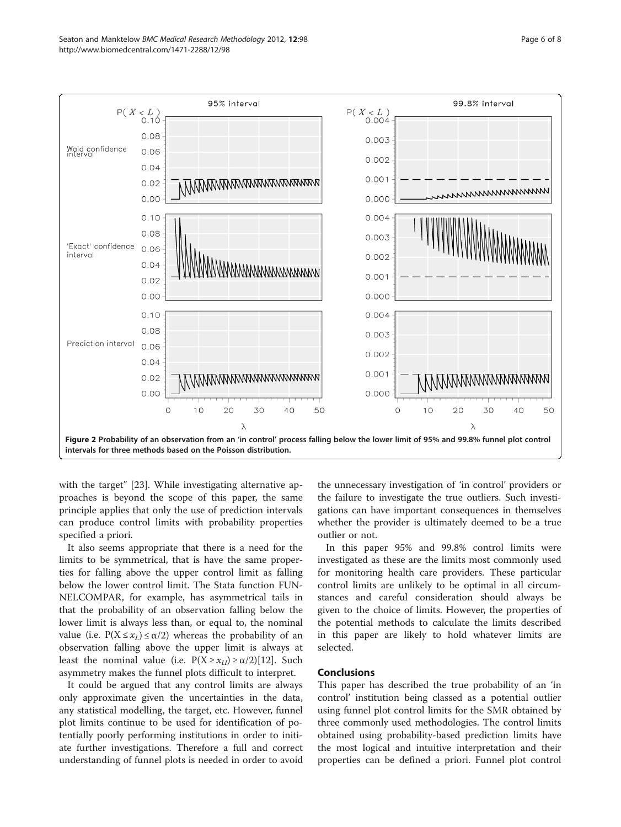<span id="page-5-0"></span>

with the target" [[23\]](#page-7-0). While investigating alternative approaches is beyond the scope of this paper, the same principle applies that only the use of prediction intervals can produce control limits with probability properties specified a priori.

It also seems appropriate that there is a need for the limits to be symmetrical, that is have the same properties for falling above the upper control limit as falling below the lower control limit. The Stata function FUN-NELCOMPAR, for example, has asymmetrical tails in that the probability of an observation falling below the lower limit is always less than, or equal to, the nominal value (i.e.  $P(X \le x_L) \le \alpha/2$ ) whereas the probability of an observation falling above the upper limit is always at least the nominal value (i.e.  $P(X \ge x_U) \ge \alpha/2$ )[\[12\]](#page-6-0). Such asymmetry makes the funnel plots difficult to interpret.

It could be argued that any control limits are always only approximate given the uncertainties in the data, any statistical modelling, the target, etc. However, funnel plot limits continue to be used for identification of potentially poorly performing institutions in order to initiate further investigations. Therefore a full and correct understanding of funnel plots is needed in order to avoid the unnecessary investigation of 'in control' providers or the failure to investigate the true outliers. Such investigations can have important consequences in themselves whether the provider is ultimately deemed to be a true outlier or not.

In this paper 95% and 99.8% control limits were investigated as these are the limits most commonly used for monitoring health care providers. These particular control limits are unlikely to be optimal in all circumstances and careful consideration should always be given to the choice of limits. However, the properties of the potential methods to calculate the limits described in this paper are likely to hold whatever limits are selected.

#### Conclusions

This paper has described the true probability of an 'in control' institution being classed as a potential outlier using funnel plot control limits for the SMR obtained by three commonly used methodologies. The control limits obtained using probability-based prediction limits have the most logical and intuitive interpretation and their properties can be defined a priori. Funnel plot control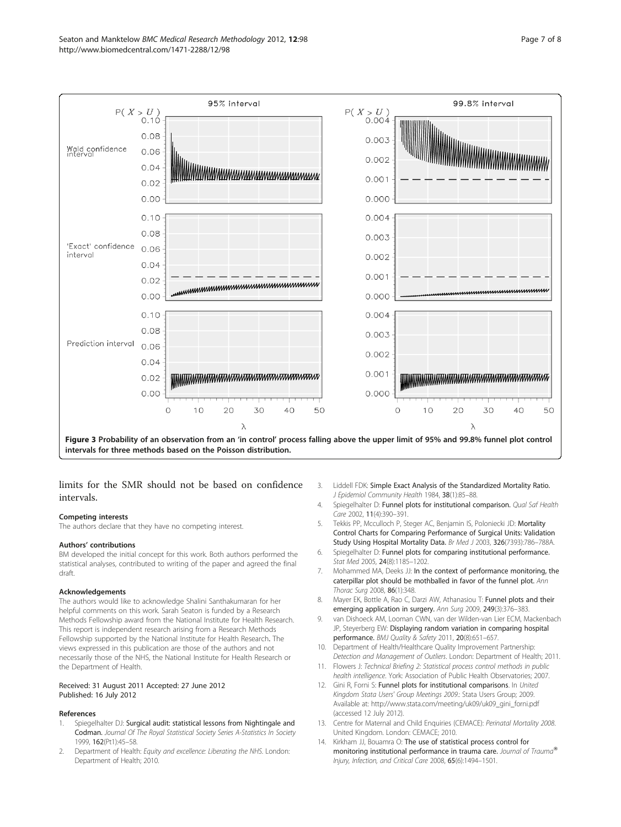<span id="page-6-0"></span>

limits for the SMR should not be based on confidence intervals.

#### Competing interests

The authors declare that they have no competing interest.

#### Authors' contributions

BM developed the initial concept for this work. Both authors performed the statistical analyses, contributed to writing of the paper and agreed the final draft.

#### Acknowledgements

The authors would like to acknowledge Shalini Santhakumaran for her helpful comments on this work. Sarah Seaton is funded by a Research Methods Fellowship award from the National Institute for Health Research. This report is independent research arising from a Research Methods Fellowship supported by the National Institute for Health Research. The views expressed in this publication are those of the authors and not necessarily those of the NHS, the National Institute for Health Research or the Department of Health.

#### Received: 31 August 2011 Accepted: 27 June 2012 Published: 16 July 2012

#### References

- 1. Spiegelhalter DJ: Surgical audit: statistical lessons from Nightingale and Codman. Journal Of The Royal Statistical Society Series A-Statistics In Society 1999, 162(Pt1):45–58.
- 2. Department of Health: Equity and excellence: Liberating the NHS. London: Department of Health; 2010.
- 3. Liddell FDK: Simple Exact Analysis of the Standardized Mortality Ratio. J Epidemiol Community Health 1984, 38(1):85–88.
- 4. Spiegelhalter D: Funnel plots for institutional comparison. Qual Saf Health Care 2002, 11(4):390–391.
- 5. Tekkis PP, Mcculloch P, Steger AC, Benjamin IS, Poloniecki JD: Mortality Control Charts for Comparing Performance of Surgical Units: Validation Study Using Hospital Mortality Data. Br Med J 2003, 326(7393):786–788A.
- 6. Spiegelhalter D: Funnel plots for comparing institutional performance. Stat Med 2005, 24(8):1185-1202.
- 7. Mohammed MA, Deeks JJ: In the context of performance monitoring, the caterpillar plot should be mothballed in favor of the funnel plot. Ann Thorac Surg 2008, 86(1):348.
- 8. Mayer EK, Bottle A, Rao C, Darzi AW, Athanasiou T: Funnel plots and their emerging application in surgery. Ann Surg 2009, 249(3):376–383.
- 9. van Dishoeck AM, Looman CWN, van der Wilden-van Lier ECM, Mackenbach JP, Steyerberg EW: Displaying random variation in comparing hospital performance. BMJ Quality & Safety 2011, 20(8):651–657.
- 10. Department of Health/Healthcare Quality Improvement Partnership: Detection and Management of Outliers. London: Department of Health; 2011.
- 11. Flowers J: Technical Briefing 2: Statistical process control methods in public health intelligence. York: Association of Public Health Observatories; 2007.
- 12. Gini R, Forni S: Funnel plots for institutional comparisons. In United Kingdom Stata Users' Group Meetings 2009.: Stata Users Group; 2009. Available at: [http://www.stata.com/meeting/uk09/uk09\\_gini\\_forni.pdf](http://www.stata.com/meeting/uk09/uk09_gini_forni.pdf) (accessed 12 July 2012).
- 13. Centre for Maternal and Child Enquiries (CEMACE): Perinatal Mortality 2008. United Kingdom. London: CEMACE; 2010.
- 14. Kirkham JJ, Bouamra O: The use of statistical process control for monitoring institutional performance in trauma care. Journal of Trauma<sup>®</sup> Injury, Infection, and Critical Care 2008, 65(6):1494–1501.